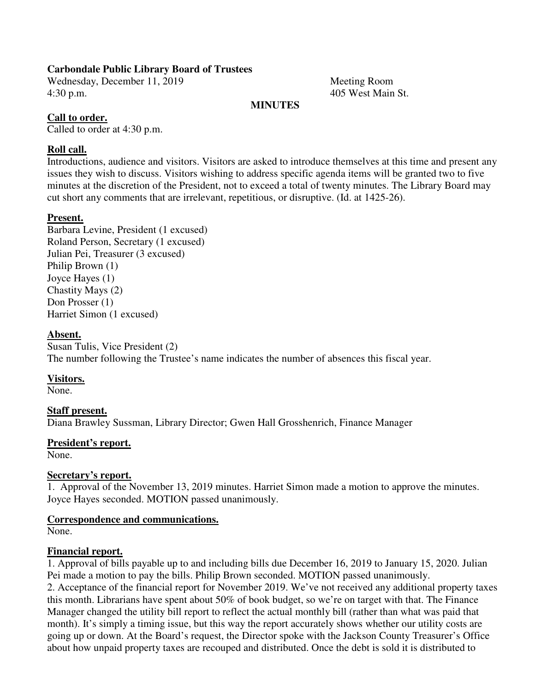## **Carbondale Public Library Board of Trustees**

Wednesday, December 11, 2019 Meeting Room 4:30 p.m. 405 West Main St.

## **MINUTES**

## **Call to order.**

Called to order at 4:30 p.m.

## **Roll call.**

Introductions, audience and visitors. Visitors are asked to introduce themselves at this time and present any issues they wish to discuss. Visitors wishing to address specific agenda items will be granted two to five minutes at the discretion of the President, not to exceed a total of twenty minutes. The Library Board may cut short any comments that are irrelevant, repetitious, or disruptive. (Id. at 1425-26).

## **Present.**

Barbara Levine, President (1 excused) Roland Person, Secretary (1 excused) Julian Pei, Treasurer (3 excused) Philip Brown (1) Joyce Hayes (1) Chastity Mays (2) Don Prosser (1) Harriet Simon (1 excused)

#### **Absent.**

Susan Tulis, Vice President (2) The number following the Trustee's name indicates the number of absences this fiscal year.

## **Visitors.**

None.

## **Staff present.**

Diana Brawley Sussman, Library Director; Gwen Hall Grosshenrich, Finance Manager

#### **President's report.**

None.

#### **Secretary's report.**

1. Approval of the November 13, 2019 minutes. Harriet Simon made a motion to approve the minutes. Joyce Hayes seconded. MOTION passed unanimously.

#### **Correspondence and communications.**

None.

#### **Financial report.**

1. Approval of bills payable up to and including bills due December 16, 2019 to January 15, 2020. Julian Pei made a motion to pay the bills. Philip Brown seconded. MOTION passed unanimously. 2. Acceptance of the financial report for November 2019. We've not received any additional property taxes this month. Librarians have spent about 50% of book budget, so we're on target with that. The Finance Manager changed the utility bill report to reflect the actual monthly bill (rather than what was paid that month). It's simply a timing issue, but this way the report accurately shows whether our utility costs are going up or down. At the Board's request, the Director spoke with the Jackson County Treasurer's Office about how unpaid property taxes are recouped and distributed. Once the debt is sold it is distributed to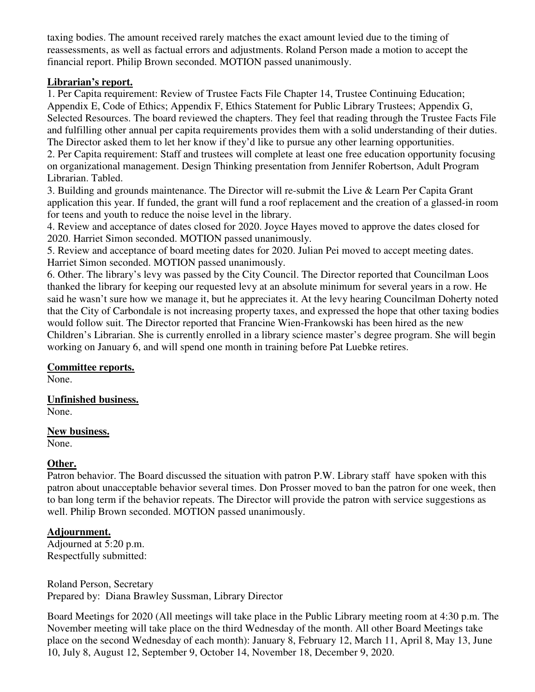taxing bodies. The amount received rarely matches the exact amount levied due to the timing of reassessments, as well as factual errors and adjustments. Roland Person made a motion to accept the financial report. Philip Brown seconded. MOTION passed unanimously.

## **Librarian's report.**

1. Per Capita requirement: Review of Trustee Facts File Chapter 14, Trustee Continuing Education; Appendix E, Code of Ethics; Appendix F, Ethics Statement for Public Library Trustees; Appendix G, Selected Resources. The board reviewed the chapters. They feel that reading through the Trustee Facts File and fulfilling other annual per capita requirements provides them with a solid understanding of their duties. The Director asked them to let her know if they'd like to pursue any other learning opportunities.

2. Per Capita requirement: Staff and trustees will complete at least one free education opportunity focusing on organizational management. Design Thinking presentation from Jennifer Robertson, Adult Program Librarian. Tabled.

3. Building and grounds maintenance. The Director will re-submit the Live & Learn Per Capita Grant application this year. If funded, the grant will fund a roof replacement and the creation of a glassed-in room for teens and youth to reduce the noise level in the library.

4. Review and acceptance of dates closed for 2020. Joyce Hayes moved to approve the dates closed for 2020. Harriet Simon seconded. MOTION passed unanimously.

5. Review and acceptance of board meeting dates for 2020. Julian Pei moved to accept meeting dates. Harriet Simon seconded. MOTION passed unanimously.

6. Other. The library's levy was passed by the City Council. The Director reported that Councilman Loos thanked the library for keeping our requested levy at an absolute minimum for several years in a row. He said he wasn't sure how we manage it, but he appreciates it. At the levy hearing Councilman Doherty noted that the City of Carbondale is not increasing property taxes, and expressed the hope that other taxing bodies would follow suit. The Director reported that Francine Wien-Frankowski has been hired as the new Children's Librarian. She is currently enrolled in a library science master's degree program. She will begin working on January 6, and will spend one month in training before Pat Luebke retires.

# **Committee reports.**

None.

#### **Unfinished business.**  None.

**New business.** 

None.

# **Other.**

Patron behavior. The Board discussed the situation with patron P.W. Library staff have spoken with this patron about unacceptable behavior several times. Don Prosser moved to ban the patron for one week, then to ban long term if the behavior repeats. The Director will provide the patron with service suggestions as well. Philip Brown seconded. MOTION passed unanimously.

# **Adjournment.**

Adjourned at 5:20 p.m. Respectfully submitted:

Roland Person, Secretary Prepared by: Diana Brawley Sussman, Library Director

Board Meetings for 2020 (All meetings will take place in the Public Library meeting room at 4:30 p.m. The November meeting will take place on the third Wednesday of the month. All other Board Meetings take place on the second Wednesday of each month): January 8, February 12, March 11, April 8, May 13, June 10, July 8, August 12, September 9, October 14, November 18, December 9, 2020.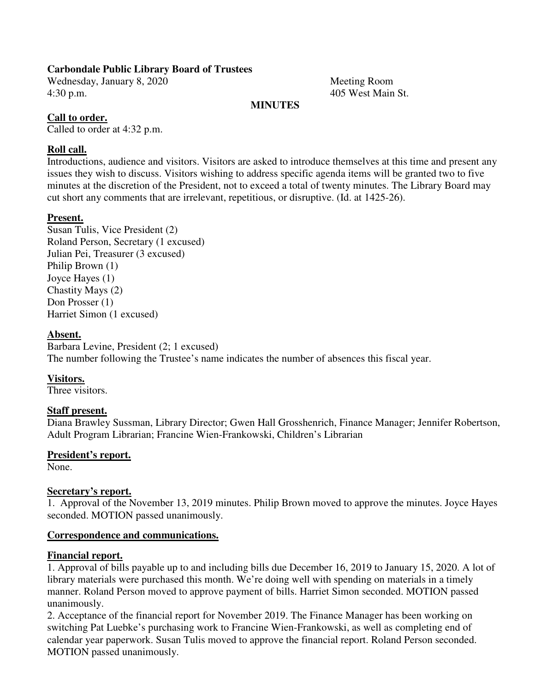## **Carbondale Public Library Board of Trustees**

Wednesday, January 8, 2020 Meeting Room 4:30 p.m. 405 West Main St.

#### **MINUTES**

## **Call to order.**

Called to order at 4:32 p.m.

## **Roll call.**

Introductions, audience and visitors. Visitors are asked to introduce themselves at this time and present any issues they wish to discuss. Visitors wishing to address specific agenda items will be granted two to five minutes at the discretion of the President, not to exceed a total of twenty minutes. The Library Board may cut short any comments that are irrelevant, repetitious, or disruptive. (Id. at 1425-26).

## **Present.**

Susan Tulis, Vice President (2) Roland Person, Secretary (1 excused) Julian Pei, Treasurer (3 excused) Philip Brown (1) Joyce Hayes (1) Chastity Mays (2) Don Prosser (1) Harriet Simon (1 excused)

#### **Absent.**

Barbara Levine, President (2; 1 excused) The number following the Trustee's name indicates the number of absences this fiscal year.

## **Visitors.**

Three visitors.

## **Staff present.**

Diana Brawley Sussman, Library Director; Gwen Hall Grosshenrich, Finance Manager; Jennifer Robertson, Adult Program Librarian; Francine Wien-Frankowski, Children's Librarian

#### **President's report.**

None.

#### **Secretary's report.**

1. Approval of the November 13, 2019 minutes. Philip Brown moved to approve the minutes. Joyce Hayes seconded. MOTION passed unanimously.

#### **Correspondence and communications.**

#### **Financial report.**

1. Approval of bills payable up to and including bills due December 16, 2019 to January 15, 2020. A lot of library materials were purchased this month. We're doing well with spending on materials in a timely manner. Roland Person moved to approve payment of bills. Harriet Simon seconded. MOTION passed unanimously.

2. Acceptance of the financial report for November 2019. The Finance Manager has been working on switching Pat Luebke's purchasing work to Francine Wien-Frankowski, as well as completing end of calendar year paperwork. Susan Tulis moved to approve the financial report. Roland Person seconded. MOTION passed unanimously.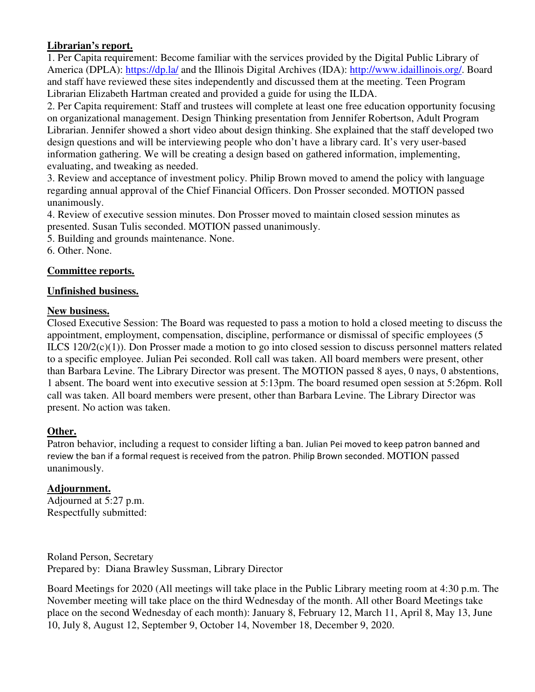# **Librarian's report.**

1. Per Capita requirement: Become familiar with the services provided by the Digital Public Library of America (DPLA): https://dp.la/ and the Illinois Digital Archives (IDA): http://www.idaillinois.org/. Board and staff have reviewed these sites independently and discussed them at the meeting. Teen Program Librarian Elizabeth Hartman created and provided a guide for using the ILDA.

2. Per Capita requirement: Staff and trustees will complete at least one free education opportunity focusing on organizational management. Design Thinking presentation from Jennifer Robertson, Adult Program Librarian. Jennifer showed a short video about design thinking. She explained that the staff developed two design questions and will be interviewing people who don't have a library card. It's very user-based information gathering. We will be creating a design based on gathered information, implementing, evaluating, and tweaking as needed.

3. Review and acceptance of investment policy. Philip Brown moved to amend the policy with language regarding annual approval of the Chief Financial Officers. Don Prosser seconded. MOTION passed unanimously.

4. Review of executive session minutes. Don Prosser moved to maintain closed session minutes as presented. Susan Tulis seconded. MOTION passed unanimously.

5. Building and grounds maintenance. None.

6. Other. None.

# **Committee reports.**

# **Unfinished business.**

# **New business.**

Closed Executive Session: The Board was requested to pass a motion to hold a closed meeting to discuss the appointment, employment, compensation, discipline, performance or dismissal of specific employees (5 ILCS 120/2(c)(1)). Don Prosser made a motion to go into closed session to discuss personnel matters related to a specific employee. Julian Pei seconded. Roll call was taken. All board members were present, other than Barbara Levine. The Library Director was present. The MOTION passed 8 ayes, 0 nays, 0 abstentions, 1 absent. The board went into executive session at 5:13pm. The board resumed open session at 5:26pm. Roll call was taken. All board members were present, other than Barbara Levine. The Library Director was present. No action was taken.

# **Other.**

Patron behavior, including a request to consider lifting a ban. Julian Pei moved to keep patron banned and review the ban if a formal request is received from the patron. Philip Brown seconded. MOTION passed unanimously.

# **Adjournment.**

Adjourned at 5:27 p.m. Respectfully submitted:

Roland Person, Secretary Prepared by: Diana Brawley Sussman, Library Director

Board Meetings for 2020 (All meetings will take place in the Public Library meeting room at 4:30 p.m. The November meeting will take place on the third Wednesday of the month. All other Board Meetings take place on the second Wednesday of each month): January 8, February 12, March 11, April 8, May 13, June 10, July 8, August 12, September 9, October 14, November 18, December 9, 2020.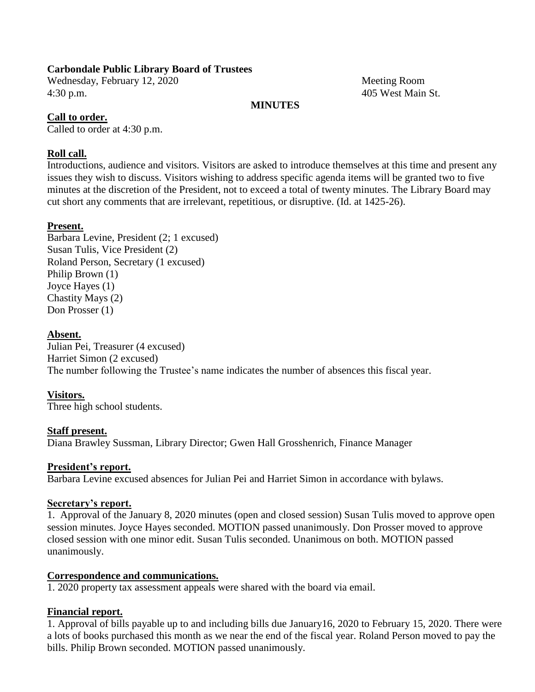## **Carbondale Public Library Board of Trustees**

Wednesday, February 12, 2020 Meeting Room 4:30 p.m. 405 West Main St.

## **MINUTES**

## **Call to order.**

Called to order at 4:30 p.m.

## **Roll call.**

Introductions, audience and visitors. Visitors are asked to introduce themselves at this time and present any issues they wish to discuss. Visitors wishing to address specific agenda items will be granted two to five minutes at the discretion of the President, not to exceed a total of twenty minutes. The Library Board may cut short any comments that are irrelevant, repetitious, or disruptive. (Id. at 1425-26).

## **Present.**

Barbara Levine, President (2; 1 excused) Susan Tulis, Vice President (2) Roland Person, Secretary (1 excused) Philip Brown (1) Joyce Hayes (1) Chastity Mays (2) Don Prosser (1)

#### **Absent.**

Julian Pei, Treasurer (4 excused) Harriet Simon (2 excused) The number following the Trustee's name indicates the number of absences this fiscal year.

#### **Visitors.**

Three high school students.

#### **Staff present.**

Diana Brawley Sussman, Library Director; Gwen Hall Grosshenrich, Finance Manager

#### **President's report.**

Barbara Levine excused absences for Julian Pei and Harriet Simon in accordance with bylaws.

#### **Secretary's report.**

1. Approval of the January 8, 2020 minutes (open and closed session) Susan Tulis moved to approve open session minutes. Joyce Hayes seconded. MOTION passed unanimously. Don Prosser moved to approve closed session with one minor edit. Susan Tulis seconded. Unanimous on both. MOTION passed unanimously.

#### **Correspondence and communications.**

1. 2020 property tax assessment appeals were shared with the board via email.

## **Financial report.**

1. Approval of bills payable up to and including bills due January16, 2020 to February 15, 2020. There were a lots of books purchased this month as we near the end of the fiscal year. Roland Person moved to pay the bills. Philip Brown seconded. MOTION passed unanimously.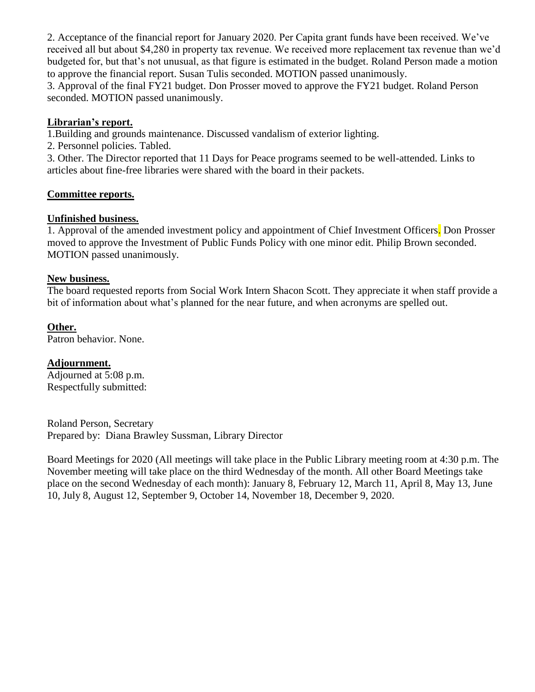2. Acceptance of the financial report for January 2020. Per Capita grant funds have been received. We've received all but about \$4,280 in property tax revenue. We received more replacement tax revenue than we'd budgeted for, but that's not unusual, as that figure is estimated in the budget. Roland Person made a motion to approve the financial report. Susan Tulis seconded. MOTION passed unanimously.

3. Approval of the final FY21 budget. Don Prosser moved to approve the FY21 budget. Roland Person seconded. MOTION passed unanimously.

## **Librarian's report.**

1.Building and grounds maintenance. Discussed vandalism of exterior lighting.

2. Personnel policies. Tabled.

3. Other. The Director reported that 11 Days for Peace programs seemed to be well-attended. Links to articles about fine-free libraries were shared with the board in their packets.

#### **Committee reports.**

#### **Unfinished business.**

1. Approval of the amended investment policy and appointment of Chief Investment Officers. Don Prosser moved to approve the Investment of Public Funds Policy with one minor edit. Philip Brown seconded. MOTION passed unanimously.

#### **New business.**

The board requested reports from Social Work Intern Shacon Scott. They appreciate it when staff provide a bit of information about what's planned for the near future, and when acronyms are spelled out.

#### **Other.**

Patron behavior. None.

#### **Adjournment.**

Adjourned at 5:08 p.m. Respectfully submitted:

Roland Person, Secretary Prepared by: Diana Brawley Sussman, Library Director

Board Meetings for 2020 (All meetings will take place in the Public Library meeting room at 4:30 p.m. The November meeting will take place on the third Wednesday of the month. All other Board Meetings take place on the second Wednesday of each month): January 8, February 12, March 11, April 8, May 13, June 10, July 8, August 12, September 9, October 14, November 18, December 9, 2020.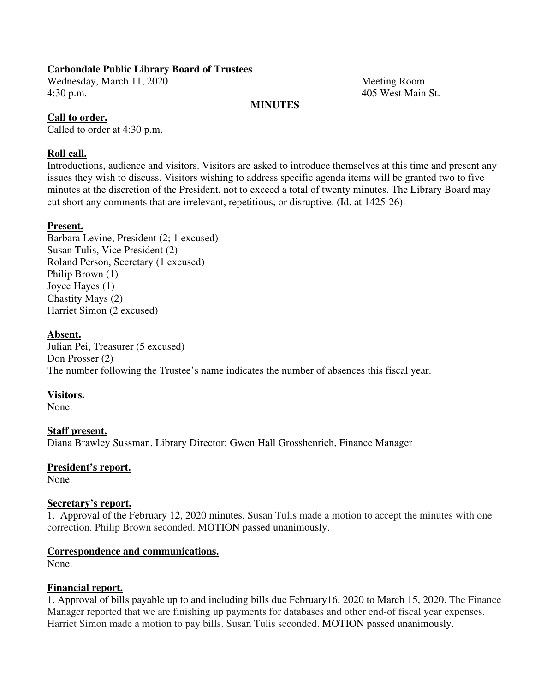## **Carbondale Public Library Board of Trustees**

Wednesday, March 11, 2020 Meeting Room 4:30 p.m. 405 West Main St.

#### **MINUTES**

#### **Call to order.**

Called to order at 4:30 p.m.

#### **Roll call.**

Introductions, audience and visitors. Visitors are asked to introduce themselves at this time and present any issues they wish to discuss. Visitors wishing to address specific agenda items will be granted two to five minutes at the discretion of the President, not to exceed a total of twenty minutes. The Library Board may cut short any comments that are irrelevant, repetitious, or disruptive. (Id. at 1425-26).

#### **Present.**

Barbara Levine, President (2; 1 excused) Susan Tulis, Vice President (2) Roland Person, Secretary (1 excused) Philip Brown (1) Joyce Hayes (1) Chastity Mays (2) Harriet Simon (2 excused)

#### **Absent.**

Julian Pei, Treasurer (5 excused) Don Prosser (2) The number following the Trustee's name indicates the number of absences this fiscal year.

#### **Visitors.**

None.

#### **Staff present.**

Diana Brawley Sussman, Library Director; Gwen Hall Grosshenrich, Finance Manager

#### **President's report.**

None.

#### **Secretary's report.**

1. Approval of the February 12, 2020 minutes. Susan Tulis made a motion to accept the minutes with one correction. Philip Brown seconded. MOTION passed unanimously.

#### **Correspondence and communications.**

None.

#### **Financial report.**

1. Approval of bills payable up to and including bills due February16, 2020 to March 15, 2020. The Finance Manager reported that we are finishing up payments for databases and other end-of fiscal year expenses. Harriet Simon made a motion to pay bills. Susan Tulis seconded. MOTION passed unanimously.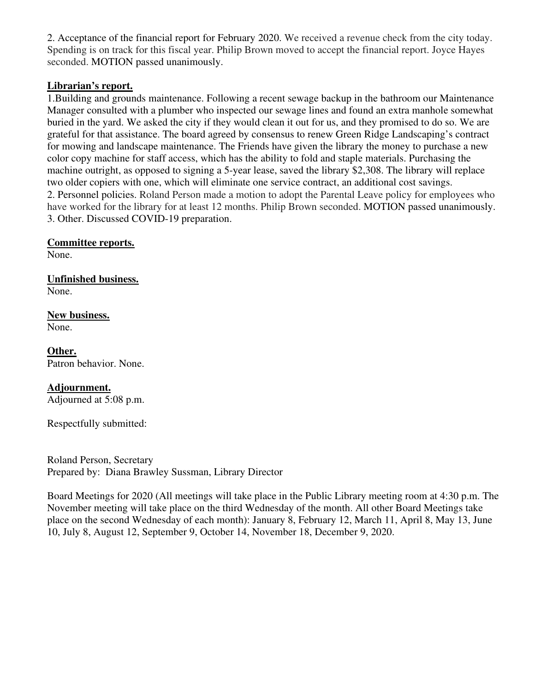2. Acceptance of the financial report for February 2020. We received a revenue check from the city today. Spending is on track for this fiscal year. Philip Brown moved to accept the financial report. Joyce Hayes seconded. MOTION passed unanimously.

## **Librarian's report.**

1.Building and grounds maintenance. Following a recent sewage backup in the bathroom our Maintenance Manager consulted with a plumber who inspected our sewage lines and found an extra manhole somewhat buried in the yard. We asked the city if they would clean it out for us, and they promised to do so. We are grateful for that assistance. The board agreed by consensus to renew Green Ridge Landscaping's contract for mowing and landscape maintenance. The Friends have given the library the money to purchase a new color copy machine for staff access, which has the ability to fold and staple materials. Purchasing the machine outright, as opposed to signing a 5-year lease, saved the library \$2,308. The library will replace two older copiers with one, which will eliminate one service contract, an additional cost savings. 2. Personnel policies. Roland Person made a motion to adopt the Parental Leave policy for employees who have worked for the library for at least 12 months. Philip Brown seconded. MOTION passed unanimously. 3. Other. Discussed COVID-19 preparation.

#### **Committee reports.**

None.

#### **Unfinished business.**  None.

# **New business.**

None.

#### **Other.**  Patron behavior. None.

## **Adjournment.**

Adjourned at 5:08 p.m.

Respectfully submitted:

Roland Person, Secretary Prepared by: Diana Brawley Sussman, Library Director

Board Meetings for 2020 (All meetings will take place in the Public Library meeting room at 4:30 p.m. The November meeting will take place on the third Wednesday of the month. All other Board Meetings take place on the second Wednesday of each month): January 8, February 12, March 11, April 8, May 13, June 10, July 8, August 12, September 9, October 14, November 18, December 9, 2020.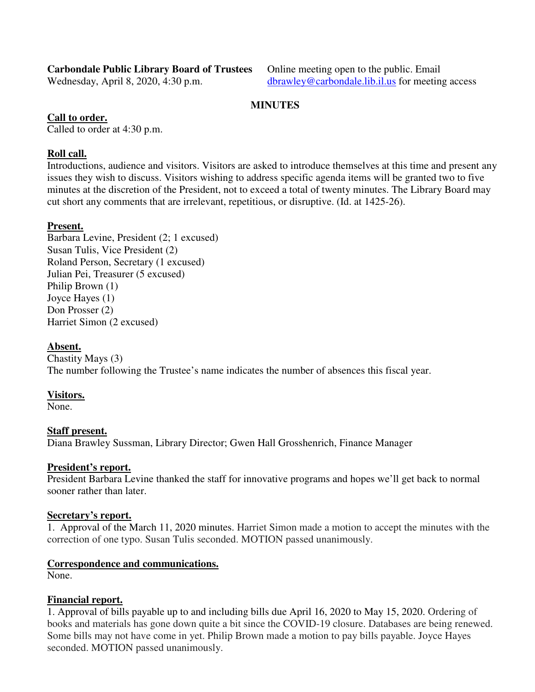# **Carbondale Public Library Board of Trustees** Online meeting open to the public. Email

Wednesday, April 8, 2020, 4:30 p.m. dbrawley@carbondale.lib.il.us for meeting access

## **MINUTES**

# **Call to order.**

Called to order at 4:30 p.m.

# **Roll call.**

Introductions, audience and visitors. Visitors are asked to introduce themselves at this time and present any issues they wish to discuss. Visitors wishing to address specific agenda items will be granted two to five minutes at the discretion of the President, not to exceed a total of twenty minutes. The Library Board may cut short any comments that are irrelevant, repetitious, or disruptive. (Id. at 1425-26).

# **Present.**

Barbara Levine, President (2; 1 excused) Susan Tulis, Vice President (2) Roland Person, Secretary (1 excused) Julian Pei, Treasurer (5 excused) Philip Brown (1) Joyce Hayes (1) Don Prosser (2) Harriet Simon (2 excused)

## **Absent.**

Chastity Mays (3) The number following the Trustee's name indicates the number of absences this fiscal year.

## **Visitors.**

None.

## **Staff present.**

Diana Brawley Sussman, Library Director; Gwen Hall Grosshenrich, Finance Manager

## **President's report.**

President Barbara Levine thanked the staff for innovative programs and hopes we'll get back to normal sooner rather than later.

## **Secretary's report.**

1. Approval of the March 11, 2020 minutes. Harriet Simon made a motion to accept the minutes with the correction of one typo. Susan Tulis seconded. MOTION passed unanimously.

## **Correspondence and communications.**

None.

## **Financial report.**

1. Approval of bills payable up to and including bills due April 16, 2020 to May 15, 2020. Ordering of books and materials has gone down quite a bit since the COVID-19 closure. Databases are being renewed. Some bills may not have come in yet. Philip Brown made a motion to pay bills payable. Joyce Hayes seconded. MOTION passed unanimously.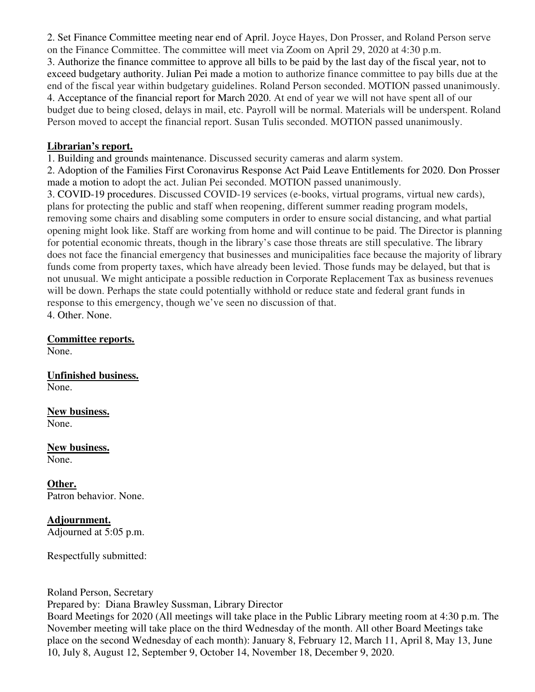2. Set Finance Committee meeting near end of April. Joyce Hayes, Don Prosser, and Roland Person serve on the Finance Committee. The committee will meet via Zoom on April 29, 2020 at 4:30 p.m. 3. Authorize the finance committee to approve all bills to be paid by the last day of the fiscal year, not to exceed budgetary authority. Julian Pei made a motion to authorize finance committee to pay bills due at the end of the fiscal year within budgetary guidelines. Roland Person seconded. MOTION passed unanimously. 4. Acceptance of the financial report for March 2020. At end of year we will not have spent all of our budget due to being closed, delays in mail, etc. Payroll will be normal. Materials will be underspent. Roland Person moved to accept the financial report. Susan Tulis seconded. MOTION passed unanimously.

## **Librarian's report.**

1. Building and grounds maintenance. Discussed security cameras and alarm system.

2. Adoption of the Families First Coronavirus Response Act Paid Leave Entitlements for 2020. Don Prosser made a motion to adopt the act. Julian Pei seconded. MOTION passed unanimously.

3. COVID-19 procedures. Discussed COVID-19 services (e-books, virtual programs, virtual new cards), plans for protecting the public and staff when reopening, different summer reading program models, removing some chairs and disabling some computers in order to ensure social distancing, and what partial opening might look like. Staff are working from home and will continue to be paid. The Director is planning for potential economic threats, though in the library's case those threats are still speculative. The library does not face the financial emergency that businesses and municipalities face because the majority of library funds come from property taxes, which have already been levied. Those funds may be delayed, but that is not unusual. We might anticipate a possible reduction in Corporate Replacement Tax as business revenues will be down. Perhaps the state could potentially withhold or reduce state and federal grant funds in response to this emergency, though we've seen no discussion of that. 4. Other. None.

## **Committee reports.**

None.

**Unfinished business.**  None.

**New business.**  None.

**New business.**  None.

**Other.**  Patron behavior. None.

**Adjournment.**  Adjourned at 5:05 p.m.

Respectfully submitted:

Roland Person, Secretary

Prepared by: Diana Brawley Sussman, Library Director

Board Meetings for 2020 (All meetings will take place in the Public Library meeting room at 4:30 p.m. The November meeting will take place on the third Wednesday of the month. All other Board Meetings take place on the second Wednesday of each month): January 8, February 12, March 11, April 8, May 13, June 10, July 8, August 12, September 9, October 14, November 18, December 9, 2020.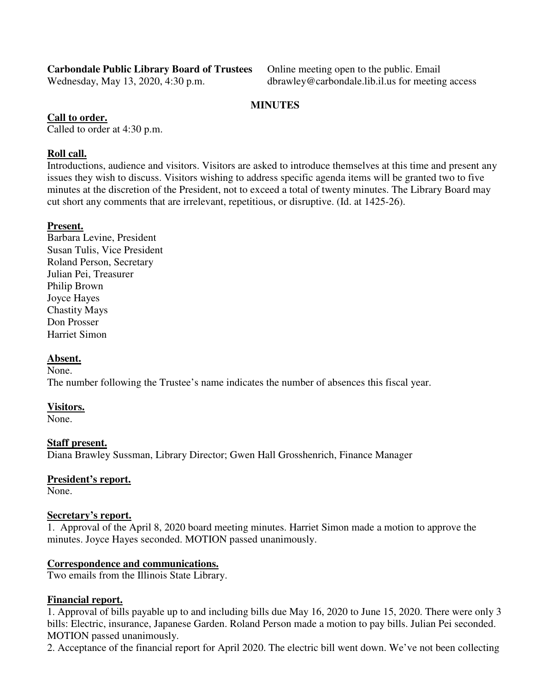# **Carbondale Public Library Board of Trustees** Online meeting open to the public. Email

Wednesday, May 13, 2020, 4:30 p.m. dbrawley@carbondale.lib.il.us for meeting access

## **MINUTES**

## **Call to order.**

Called to order at 4:30 p.m.

# **Roll call.**

Introductions, audience and visitors. Visitors are asked to introduce themselves at this time and present any issues they wish to discuss. Visitors wishing to address specific agenda items will be granted two to five minutes at the discretion of the President, not to exceed a total of twenty minutes. The Library Board may cut short any comments that are irrelevant, repetitious, or disruptive. (Id. at 1425-26).

# **Present.**

Barbara Levine, President Susan Tulis, Vice President Roland Person, Secretary Julian Pei, Treasurer Philip Brown Joyce Hayes Chastity Mays Don Prosser Harriet Simon

## **Absent.**

None.

The number following the Trustee's name indicates the number of absences this fiscal year.

## **Visitors.**

None.

## **Staff present.**

Diana Brawley Sussman, Library Director; Gwen Hall Grosshenrich, Finance Manager

## **President's report.**

None.

## **Secretary's report.**

1. Approval of the April 8, 2020 board meeting minutes. Harriet Simon made a motion to approve the minutes. Joyce Hayes seconded. MOTION passed unanimously.

## **Correspondence and communications.**

Two emails from the Illinois State Library.

## **Financial report.**

1. Approval of bills payable up to and including bills due May 16, 2020 to June 15, 2020. There were only 3 bills: Electric, insurance, Japanese Garden. Roland Person made a motion to pay bills. Julian Pei seconded. MOTION passed unanimously.

2. Acceptance of the financial report for April 2020. The electric bill went down. We've not been collecting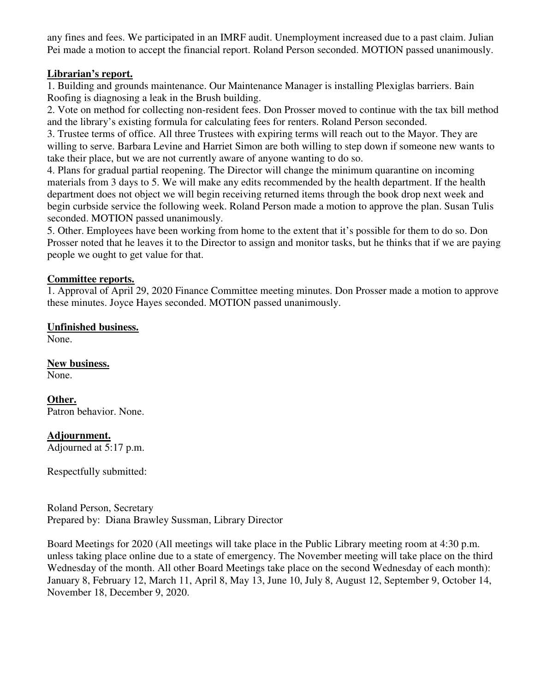any fines and fees. We participated in an IMRF audit. Unemployment increased due to a past claim. Julian Pei made a motion to accept the financial report. Roland Person seconded. MOTION passed unanimously.

## **Librarian's report.**

1. Building and grounds maintenance. Our Maintenance Manager is installing Plexiglas barriers. Bain Roofing is diagnosing a leak in the Brush building.

2. Vote on method for collecting non-resident fees. Don Prosser moved to continue with the tax bill method and the library's existing formula for calculating fees for renters. Roland Person seconded.

3. Trustee terms of office. All three Trustees with expiring terms will reach out to the Mayor. They are willing to serve. Barbara Levine and Harriet Simon are both willing to step down if someone new wants to take their place, but we are not currently aware of anyone wanting to do so.

4. Plans for gradual partial reopening. The Director will change the minimum quarantine on incoming materials from 3 days to 5. We will make any edits recommended by the health department. If the health department does not object we will begin receiving returned items through the book drop next week and begin curbside service the following week. Roland Person made a motion to approve the plan. Susan Tulis seconded. MOTION passed unanimously.

5. Other. Employees have been working from home to the extent that it's possible for them to do so. Don Prosser noted that he leaves it to the Director to assign and monitor tasks, but he thinks that if we are paying people we ought to get value for that.

## **Committee reports.**

1. Approval of April 29, 2020 Finance Committee meeting minutes. Don Prosser made a motion to approve these minutes. Joyce Hayes seconded. MOTION passed unanimously.

## **Unfinished business.**

None.

**New business.**  None.

**Other.** 

Patron behavior. None.

## **Adjournment.**

Adjourned at 5:17 p.m.

Respectfully submitted:

Roland Person, Secretary Prepared by: Diana Brawley Sussman, Library Director

Board Meetings for 2020 (All meetings will take place in the Public Library meeting room at 4:30 p.m. unless taking place online due to a state of emergency. The November meeting will take place on the third Wednesday of the month. All other Board Meetings take place on the second Wednesday of each month): January 8, February 12, March 11, April 8, May 13, June 10, July 8, August 12, September 9, October 14, November 18, December 9, 2020.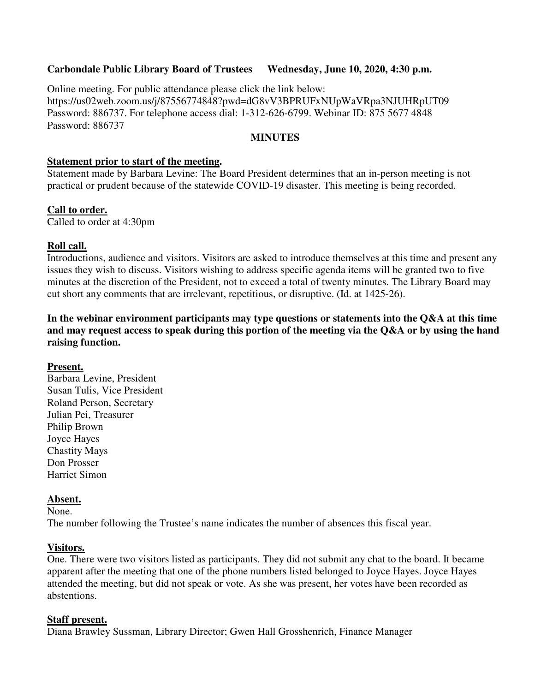### **Carbondale Public Library Board of Trustees Wednesday, June 10, 2020, 4:30 p.m.**

Online meeting. For public attendance please click the link below: https://us02web.zoom.us/j/87556774848?pwd=dG8vV3BPRUFxNUpWaVRpa3NJUHRpUT09 Password: 886737. For telephone access dial: 1-312-626-6799. Webinar ID: 875 5677 4848 Password: 886737

#### **MINUTES**

#### **Statement prior to start of the meeting.**

Statement made by Barbara Levine: The Board President determines that an in-person meeting is not practical or prudent because of the statewide COVID-19 disaster. This meeting is being recorded.

#### **Call to order.**

Called to order at 4:30pm

#### **Roll call.**

Introductions, audience and visitors. Visitors are asked to introduce themselves at this time and present any issues they wish to discuss. Visitors wishing to address specific agenda items will be granted two to five minutes at the discretion of the President, not to exceed a total of twenty minutes. The Library Board may cut short any comments that are irrelevant, repetitious, or disruptive. (Id. at 1425-26).

## **In the webinar environment participants may type questions or statements into the Q&A at this time and may request access to speak during this portion of the meeting via the Q&A or by using the hand raising function.**

#### **Present.**

Barbara Levine, President Susan Tulis, Vice President Roland Person, Secretary Julian Pei, Treasurer Philip Brown Joyce Hayes Chastity Mays Don Prosser Harriet Simon

## **Absent.**

None.

The number following the Trustee's name indicates the number of absences this fiscal year.

#### **Visitors.**

One. There were two visitors listed as participants. They did not submit any chat to the board. It became apparent after the meeting that one of the phone numbers listed belonged to Joyce Hayes. Joyce Hayes attended the meeting, but did not speak or vote. As she was present, her votes have been recorded as abstentions.

#### **Staff present.**

Diana Brawley Sussman, Library Director; Gwen Hall Grosshenrich, Finance Manager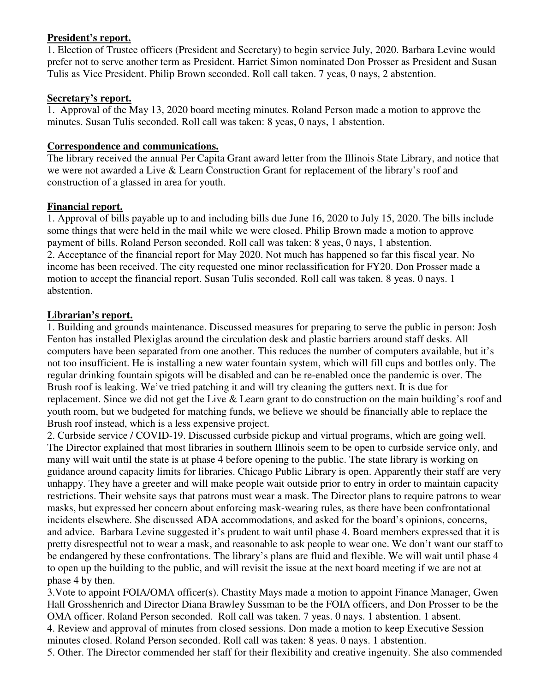## **President's report.**

1. Election of Trustee officers (President and Secretary) to begin service July, 2020. Barbara Levine would prefer not to serve another term as President. Harriet Simon nominated Don Prosser as President and Susan Tulis as Vice President. Philip Brown seconded. Roll call taken. 7 yeas, 0 nays, 2 abstention.

## **Secretary's report.**

1. Approval of the May 13, 2020 board meeting minutes. Roland Person made a motion to approve the minutes. Susan Tulis seconded. Roll call was taken: 8 yeas, 0 nays, 1 abstention.

## **Correspondence and communications.**

The library received the annual Per Capita Grant award letter from the Illinois State Library, and notice that we were not awarded a Live & Learn Construction Grant for replacement of the library's roof and construction of a glassed in area for youth.

## **Financial report.**

1. Approval of bills payable up to and including bills due June 16, 2020 to July 15, 2020. The bills include some things that were held in the mail while we were closed. Philip Brown made a motion to approve payment of bills. Roland Person seconded. Roll call was taken: 8 yeas, 0 nays, 1 abstention. 2. Acceptance of the financial report for May 2020. Not much has happened so far this fiscal year. No income has been received. The city requested one minor reclassification for FY20. Don Prosser made a motion to accept the financial report. Susan Tulis seconded. Roll call was taken. 8 yeas. 0 nays. 1 abstention.

## **Librarian's report.**

1. Building and grounds maintenance. Discussed measures for preparing to serve the public in person: Josh Fenton has installed Plexiglas around the circulation desk and plastic barriers around staff desks. All computers have been separated from one another. This reduces the number of computers available, but it's not too insufficient. He is installing a new water fountain system, which will fill cups and bottles only. The regular drinking fountain spigots will be disabled and can be re-enabled once the pandemic is over. The Brush roof is leaking. We've tried patching it and will try cleaning the gutters next. It is due for replacement. Since we did not get the Live & Learn grant to do construction on the main building's roof and youth room, but we budgeted for matching funds, we believe we should be financially able to replace the Brush roof instead, which is a less expensive project.

2. Curbside service / COVID-19. Discussed curbside pickup and virtual programs, which are going well. The Director explained that most libraries in southern Illinois seem to be open to curbside service only, and many will wait until the state is at phase 4 before opening to the public. The state library is working on guidance around capacity limits for libraries. Chicago Public Library is open. Apparently their staff are very unhappy. They have a greeter and will make people wait outside prior to entry in order to maintain capacity restrictions. Their website says that patrons must wear a mask. The Director plans to require patrons to wear masks, but expressed her concern about enforcing mask-wearing rules, as there have been confrontational incidents elsewhere. She discussed ADA accommodations, and asked for the board's opinions, concerns, and advice. Barbara Levine suggested it's prudent to wait until phase 4. Board members expressed that it is pretty disrespectful not to wear a mask, and reasonable to ask people to wear one. We don't want our staff to be endangered by these confrontations. The library's plans are fluid and flexible. We will wait until phase 4 to open up the building to the public, and will revisit the issue at the next board meeting if we are not at phase 4 by then.

3.Vote to appoint FOIA/OMA officer(s). Chastity Mays made a motion to appoint Finance Manager, Gwen Hall Grosshenrich and Director Diana Brawley Sussman to be the FOIA officers, and Don Prosser to be the OMA officer. Roland Person seconded. Roll call was taken. 7 yeas. 0 nays. 1 abstention. 1 absent. 4. Review and approval of minutes from closed sessions. Don made a motion to keep Executive Session minutes closed. Roland Person seconded. Roll call was taken: 8 yeas. 0 nays. 1 abstention. 5. Other. The Director commended her staff for their flexibility and creative ingenuity. She also commended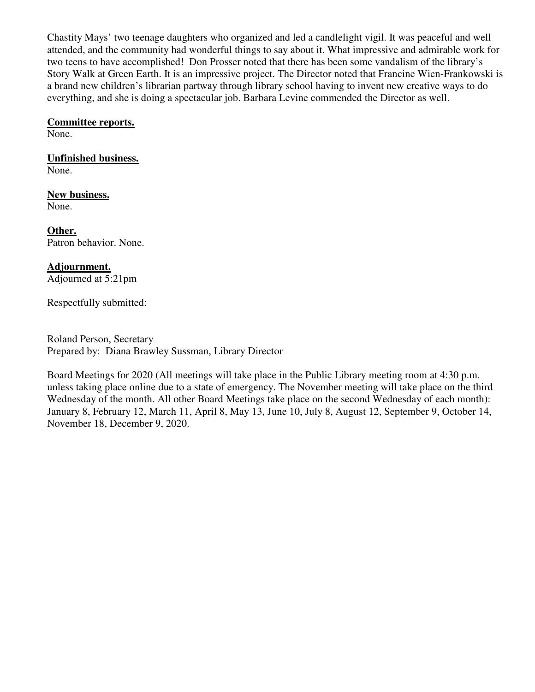Chastity Mays' two teenage daughters who organized and led a candlelight vigil. It was peaceful and well attended, and the community had wonderful things to say about it. What impressive and admirable work for two teens to have accomplished! Don Prosser noted that there has been some vandalism of the library's Story Walk at Green Earth. It is an impressive project. The Director noted that Francine Wien-Frankowski is a brand new children's librarian partway through library school having to invent new creative ways to do everything, and she is doing a spectacular job. Barbara Levine commended the Director as well.

#### **Committee reports.**

None.

**Unfinished business.**  None.

**New business.**  None.

**Other.**  Patron behavior. None.

**Adjournment.**  Adjourned at 5:21pm

Respectfully submitted:

Roland Person, Secretary Prepared by: Diana Brawley Sussman, Library Director

Board Meetings for 2020 (All meetings will take place in the Public Library meeting room at 4:30 p.m. unless taking place online due to a state of emergency. The November meeting will take place on the third Wednesday of the month. All other Board Meetings take place on the second Wednesday of each month): January 8, February 12, March 11, April 8, May 13, June 10, July 8, August 12, September 9, October 14, November 18, December 9, 2020.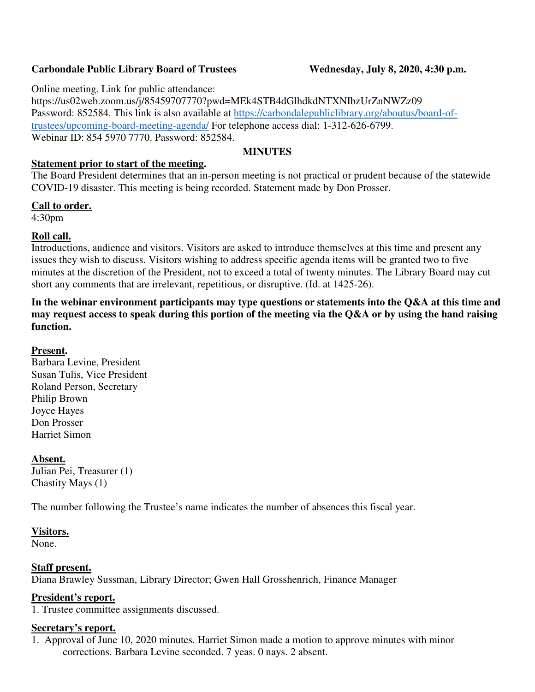## Carbondale Public Library Board of Trustees Wednesday, July 8, 2020, 4:30 p.m.

Online meeting. Link for public attendance:

https://us02web.zoom.us/j/85459707770?pwd=MEk4STB4dGlhdkdNTXNIbzUrZnNWZz09 Password: 852584. This link is also available at https://carbondalepubliclibrary.org/aboutus/board-oftrustees/upcoming-board-meeting-agenda/ For telephone access dial: 1-312-626-6799. Webinar ID: 854 5970 7770. Password: 852584.

## **MINUTES**

## **Statement prior to start of the meeting.**

The Board President determines that an in-person meeting is not practical or prudent because of the statewide COVID-19 disaster. This meeting is being recorded. Statement made by Don Prosser.

## **Call to order.**

4:30pm

## **Roll call.**

Introductions, audience and visitors. Visitors are asked to introduce themselves at this time and present any issues they wish to discuss. Visitors wishing to address specific agenda items will be granted two to five minutes at the discretion of the President, not to exceed a total of twenty minutes. The Library Board may cut short any comments that are irrelevant, repetitious, or disruptive. (Id. at 1425-26).

**In the webinar environment participants may type questions or statements into the Q&A at this time and may request access to speak during this portion of the meeting via the Q&A or by using the hand raising function.** 

## **Present.**

Barbara Levine, President Susan Tulis, Vice President Roland Person, Secretary Philip Brown Joyce Hayes Don Prosser Harriet Simon

## **Absent.**

Julian Pei, Treasurer (1) Chastity Mays (1)

The number following the Trustee's name indicates the number of absences this fiscal year.

#### **Visitors.**

None.

## **Staff present.**

Diana Brawley Sussman, Library Director; Gwen Hall Grosshenrich, Finance Manager

## **President's report.**

1. Trustee committee assignments discussed.

## **Secretary's report.**

1. Approval of June 10, 2020 minutes. Harriet Simon made a motion to approve minutes with minor corrections. Barbara Levine seconded. 7 yeas. 0 nays. 2 absent.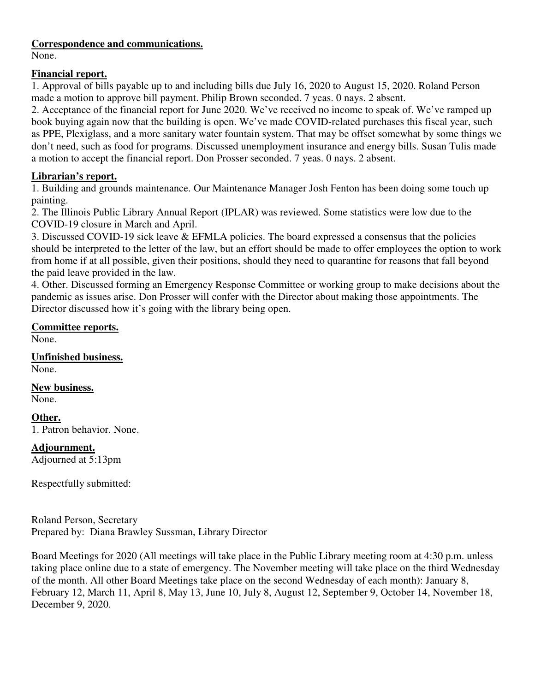## **Correspondence and communications.**

None.

# **Financial report.**

1. Approval of bills payable up to and including bills due July 16, 2020 to August 15, 2020. Roland Person made a motion to approve bill payment. Philip Brown seconded. 7 yeas. 0 nays. 2 absent.

2. Acceptance of the financial report for June 2020. We've received no income to speak of. We've ramped up book buying again now that the building is open. We've made COVID-related purchases this fiscal year, such as PPE, Plexiglass, and a more sanitary water fountain system. That may be offset somewhat by some things we don't need, such as food for programs. Discussed unemployment insurance and energy bills. Susan Tulis made a motion to accept the financial report. Don Prosser seconded. 7 yeas. 0 nays. 2 absent.

# **Librarian's report.**

1. Building and grounds maintenance. Our Maintenance Manager Josh Fenton has been doing some touch up painting.

2. The Illinois Public Library Annual Report (IPLAR) was reviewed. Some statistics were low due to the COVID-19 closure in March and April.

3. Discussed COVID-19 sick leave & EFMLA policies. The board expressed a consensus that the policies should be interpreted to the letter of the law, but an effort should be made to offer employees the option to work from home if at all possible, given their positions, should they need to quarantine for reasons that fall beyond the paid leave provided in the law.

4. Other. Discussed forming an Emergency Response Committee or working group to make decisions about the pandemic as issues arise. Don Prosser will confer with the Director about making those appointments. The Director discussed how it's going with the library being open.

# **Committee reports.**

None.

**Unfinished business.**  None.

**New business.**  None.

**Other.** 

1. Patron behavior. None.

**Adjournment.**  Adjourned at 5:13pm

Respectfully submitted:

Roland Person, Secretary Prepared by: Diana Brawley Sussman, Library Director

Board Meetings for 2020 (All meetings will take place in the Public Library meeting room at 4:30 p.m. unless taking place online due to a state of emergency. The November meeting will take place on the third Wednesday of the month. All other Board Meetings take place on the second Wednesday of each month): January 8, February 12, March 11, April 8, May 13, June 10, July 8, August 12, September 9, October 14, November 18, December 9, 2020.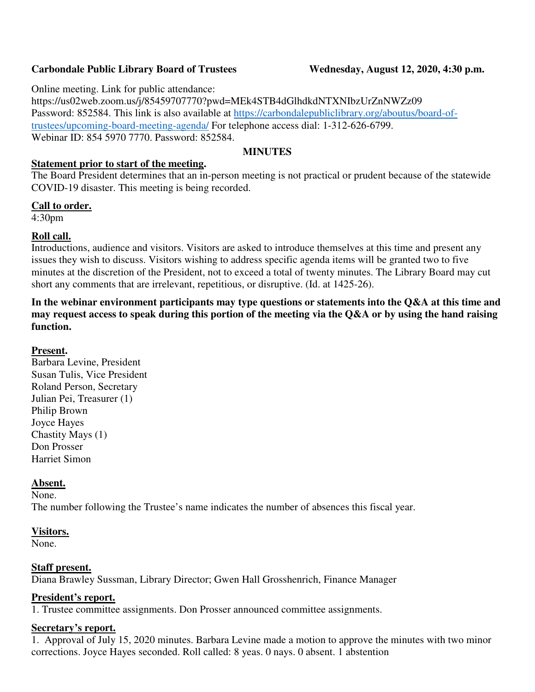## **Carbondale Public Library Board of Trustees Wednesday, August 12, 2020, 4:30 p.m.**

Online meeting. Link for public attendance:

https://us02web.zoom.us/j/85459707770?pwd=MEk4STB4dGlhdkdNTXNIbzUrZnNWZz09 Password: 852584. This link is also available at https://carbondalepubliclibrary.org/aboutus/board-oftrustees/upcoming-board-meeting-agenda/ For telephone access dial: 1-312-626-6799. Webinar ID: 854 5970 7770. Password: 852584.

## **MINUTES**

## **Statement prior to start of the meeting.**

The Board President determines that an in-person meeting is not practical or prudent because of the statewide COVID-19 disaster. This meeting is being recorded.

## **Call to order.**

4:30pm

# **Roll call.**

Introductions, audience and visitors. Visitors are asked to introduce themselves at this time and present any issues they wish to discuss. Visitors wishing to address specific agenda items will be granted two to five minutes at the discretion of the President, not to exceed a total of twenty minutes. The Library Board may cut short any comments that are irrelevant, repetitious, or disruptive. (Id. at 1425-26).

**In the webinar environment participants may type questions or statements into the Q&A at this time and may request access to speak during this portion of the meeting via the Q&A or by using the hand raising function.** 

## **Present.**

Barbara Levine, President Susan Tulis, Vice President Roland Person, Secretary Julian Pei, Treasurer (1) Philip Brown Joyce Hayes Chastity Mays (1) Don Prosser Harriet Simon

## **Absent.**

None.

The number following the Trustee's name indicates the number of absences this fiscal year.

## **Visitors.**

None.

## **Staff present.**

Diana Brawley Sussman, Library Director; Gwen Hall Grosshenrich, Finance Manager

## **President's report.**

1. Trustee committee assignments. Don Prosser announced committee assignments.

## **Secretary's report.**

1. Approval of July 15, 2020 minutes. Barbara Levine made a motion to approve the minutes with two minor corrections. Joyce Hayes seconded. Roll called: 8 yeas. 0 nays. 0 absent. 1 abstention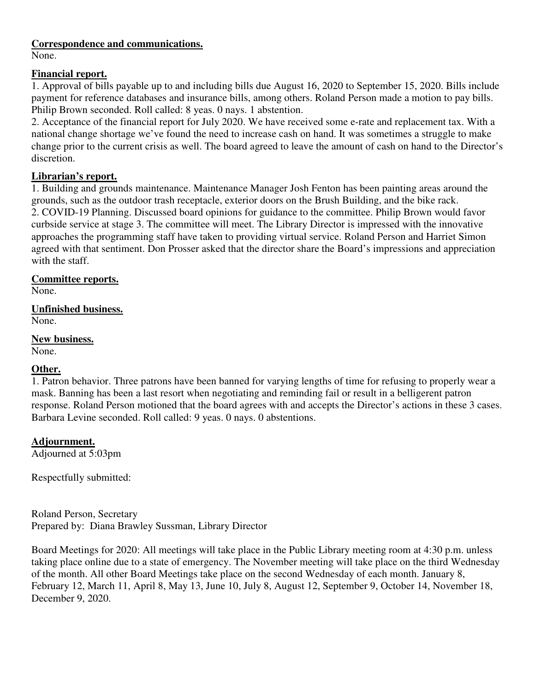## **Correspondence and communications.**

None.

## **Financial report.**

1. Approval of bills payable up to and including bills due August 16, 2020 to September 15, 2020. Bills include payment for reference databases and insurance bills, among others. Roland Person made a motion to pay bills. Philip Brown seconded. Roll called: 8 yeas. 0 nays. 1 abstention.

2. Acceptance of the financial report for July 2020. We have received some e-rate and replacement tax. With a national change shortage we've found the need to increase cash on hand. It was sometimes a struggle to make change prior to the current crisis as well. The board agreed to leave the amount of cash on hand to the Director's discretion.

# **Librarian's report.**

1. Building and grounds maintenance. Maintenance Manager Josh Fenton has been painting areas around the grounds, such as the outdoor trash receptacle, exterior doors on the Brush Building, and the bike rack. 2. COVID-19 Planning. Discussed board opinions for guidance to the committee. Philip Brown would favor curbside service at stage 3. The committee will meet. The Library Director is impressed with the innovative approaches the programming staff have taken to providing virtual service. Roland Person and Harriet Simon agreed with that sentiment. Don Prosser asked that the director share the Board's impressions and appreciation with the staff.

## **Committee reports.**

None.

**Unfinished business.**  None.

# **New business.**

None.

# **Other.**

1. Patron behavior. Three patrons have been banned for varying lengths of time for refusing to properly wear a mask. Banning has been a last resort when negotiating and reminding fail or result in a belligerent patron response. Roland Person motioned that the board agrees with and accepts the Director's actions in these 3 cases. Barbara Levine seconded. Roll called: 9 yeas. 0 nays. 0 abstentions.

# **Adjournment.**

Adjourned at 5:03pm

Respectfully submitted:

Roland Person, Secretary Prepared by: Diana Brawley Sussman, Library Director

Board Meetings for 2020: All meetings will take place in the Public Library meeting room at 4:30 p.m. unless taking place online due to a state of emergency. The November meeting will take place on the third Wednesday of the month. All other Board Meetings take place on the second Wednesday of each month. January 8, February 12, March 11, April 8, May 13, June 10, July 8, August 12, September 9, October 14, November 18, December 9, 2020.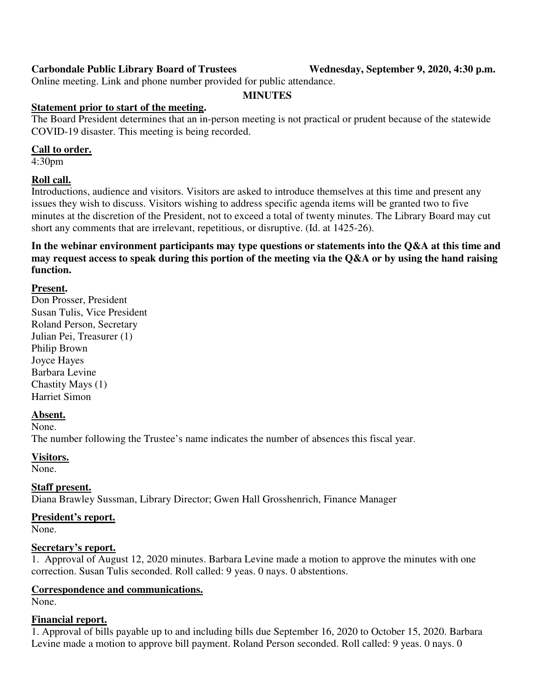## **Carbondale Public Library Board of Trustees Wednesday, September 9, 2020, 4:30 p.m.**

Online meeting. Link and phone number provided for public attendance.

#### **MINUTES**

#### **Statement prior to start of the meeting.**

The Board President determines that an in-person meeting is not practical or prudent because of the statewide COVID-19 disaster. This meeting is being recorded.

#### **Call to order.**

4:30pm

## **Roll call.**

Introductions, audience and visitors. Visitors are asked to introduce themselves at this time and present any issues they wish to discuss. Visitors wishing to address specific agenda items will be granted two to five minutes at the discretion of the President, not to exceed a total of twenty minutes. The Library Board may cut short any comments that are irrelevant, repetitious, or disruptive. (Id. at 1425-26).

**In the webinar environment participants may type questions or statements into the Q&A at this time and may request access to speak during this portion of the meeting via the Q&A or by using the hand raising function.** 

## **Present.**

Don Prosser, President Susan Tulis, Vice President Roland Person, Secretary Julian Pei, Treasurer (1) Philip Brown Joyce Hayes Barbara Levine Chastity Mays (1) Harriet Simon

#### **Absent.**

None.

The number following the Trustee's name indicates the number of absences this fiscal year.

#### **Visitors.**

None.

## **Staff present.**

Diana Brawley Sussman, Library Director; Gwen Hall Grosshenrich, Finance Manager

## **President's report.**

None.

## **Secretary's report.**

1. Approval of August 12, 2020 minutes. Barbara Levine made a motion to approve the minutes with one correction. Susan Tulis seconded. Roll called: 9 yeas. 0 nays. 0 abstentions.

## **Correspondence and communications.**

None.

## **Financial report.**

1. Approval of bills payable up to and including bills due September 16, 2020 to October 15, 2020. Barbara Levine made a motion to approve bill payment. Roland Person seconded. Roll called: 9 yeas. 0 nays. 0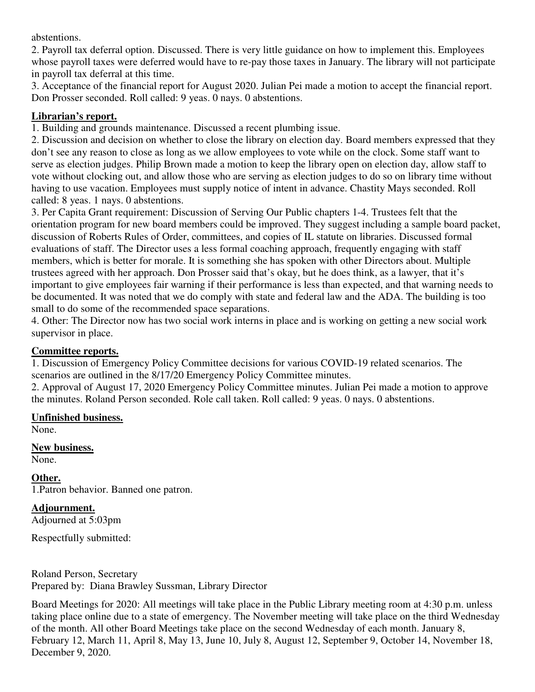abstentions.

2. Payroll tax deferral option. Discussed. There is very little guidance on how to implement this. Employees whose payroll taxes were deferred would have to re-pay those taxes in January. The library will not participate in payroll tax deferral at this time.

3. Acceptance of the financial report for August 2020. Julian Pei made a motion to accept the financial report. Don Prosser seconded. Roll called: 9 yeas. 0 nays. 0 abstentions.

## **Librarian's report.**

1. Building and grounds maintenance. Discussed a recent plumbing issue.

2. Discussion and decision on whether to close the library on election day. Board members expressed that they don't see any reason to close as long as we allow employees to vote while on the clock. Some staff want to serve as election judges. Philip Brown made a motion to keep the library open on election day, allow staff to vote without clocking out, and allow those who are serving as election judges to do so on library time without having to use vacation. Employees must supply notice of intent in advance. Chastity Mays seconded. Roll called: 8 yeas. 1 nays. 0 abstentions.

3. Per Capita Grant requirement: Discussion of Serving Our Public chapters 1-4. Trustees felt that the orientation program for new board members could be improved. They suggest including a sample board packet, discussion of Roberts Rules of Order, committees, and copies of IL statute on libraries. Discussed formal evaluations of staff. The Director uses a less formal coaching approach, frequently engaging with staff members, which is better for morale. It is something she has spoken with other Directors about. Multiple trustees agreed with her approach. Don Prosser said that's okay, but he does think, as a lawyer, that it's important to give employees fair warning if their performance is less than expected, and that warning needs to be documented. It was noted that we do comply with state and federal law and the ADA. The building is too small to do some of the recommended space separations.

4. Other: The Director now has two social work interns in place and is working on getting a new social work supervisor in place.

## **Committee reports.**

1. Discussion of Emergency Policy Committee decisions for various COVID-19 related scenarios. The scenarios are outlined in the  $8/17/20$  Emergency Policy Committee minutes.

2. Approval of August 17, 2020 Emergency Policy Committee minutes. Julian Pei made a motion to approve the minutes. Roland Person seconded. Role call taken. Roll called: 9 yeas. 0 nays. 0 abstentions.

## **Unfinished business.**

None.

## **New business.**

None.

## **Other.**

1.Patron behavior. Banned one patron.

## **Adjournment.**

Adjourned at 5:03pm

Respectfully submitted:

Roland Person, Secretary Prepared by: Diana Brawley Sussman, Library Director

Board Meetings for 2020: All meetings will take place in the Public Library meeting room at 4:30 p.m. unless taking place online due to a state of emergency. The November meeting will take place on the third Wednesday of the month. All other Board Meetings take place on the second Wednesday of each month. January 8, February 12, March 11, April 8, May 13, June 10, July 8, August 12, September 9, October 14, November 18, December 9, 2020.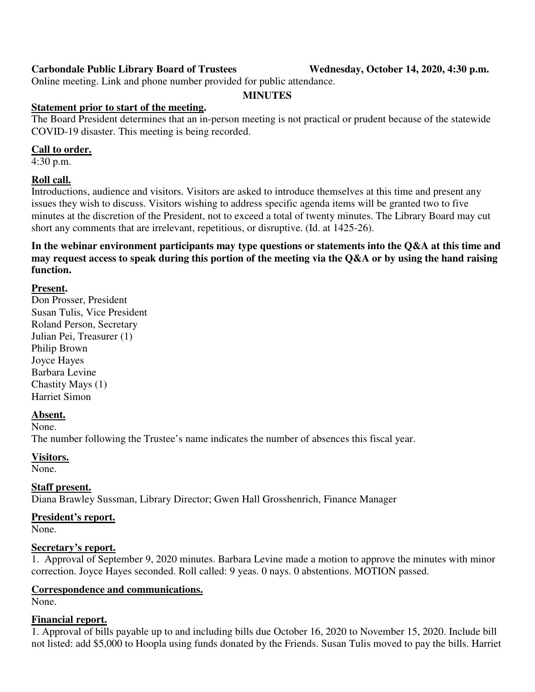## **Carbondale Public Library Board of Trustees Wednesday, October 14, 2020, 4:30 p.m.**

Online meeting. Link and phone number provided for public attendance.

#### **MINUTES**

#### **Statement prior to start of the meeting.**

The Board President determines that an in-person meeting is not practical or prudent because of the statewide COVID-19 disaster. This meeting is being recorded.

#### **Call to order.**

4:30 p.m.

## **Roll call.**

Introductions, audience and visitors. Visitors are asked to introduce themselves at this time and present any issues they wish to discuss. Visitors wishing to address specific agenda items will be granted two to five minutes at the discretion of the President, not to exceed a total of twenty minutes. The Library Board may cut short any comments that are irrelevant, repetitious, or disruptive. (Id. at 1425-26).

**In the webinar environment participants may type questions or statements into the Q&A at this time and may request access to speak during this portion of the meeting via the Q&A or by using the hand raising function.** 

#### **Present.**

Don Prosser, President Susan Tulis, Vice President Roland Person, Secretary Julian Pei, Treasurer (1) Philip Brown Joyce Hayes Barbara Levine Chastity Mays (1) Harriet Simon

#### **Absent.**

None.

The number following the Trustee's name indicates the number of absences this fiscal year.

#### **Visitors.**

None.

#### **Staff present.**

Diana Brawley Sussman, Library Director; Gwen Hall Grosshenrich, Finance Manager

#### **President's report.**

None.

#### **Secretary's report.**

1. Approval of September 9, 2020 minutes. Barbara Levine made a motion to approve the minutes with minor correction. Joyce Hayes seconded. Roll called: 9 yeas. 0 nays. 0 abstentions. MOTION passed.

#### **Correspondence and communications.**

None.

#### **Financial report.**

1. Approval of bills payable up to and including bills due October 16, 2020 to November 15, 2020. Include bill not listed: add \$5,000 to Hoopla using funds donated by the Friends. Susan Tulis moved to pay the bills. Harriet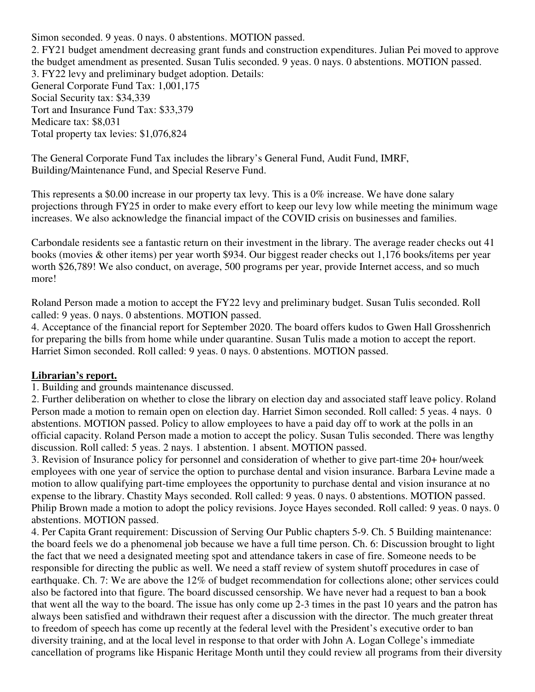Simon seconded. 9 yeas. 0 nays. 0 abstentions. MOTION passed. 2. FY21 budget amendment decreasing grant funds and construction expenditures. Julian Pei moved to approve the budget amendment as presented. Susan Tulis seconded. 9 yeas. 0 nays. 0 abstentions. MOTION passed. 3. FY22 levy and preliminary budget adoption. Details: General Corporate Fund Tax: 1,001,175 Social Security tax: \$34,339 Tort and Insurance Fund Tax: \$33,379 Medicare tax: \$8,031 Total property tax levies: \$1,076,824

The General Corporate Fund Tax includes the library's General Fund, Audit Fund, IMRF, Building/Maintenance Fund, and Special Reserve Fund.

This represents a \$0.00 increase in our property tax levy. This is a 0% increase. We have done salary projections through FY25 in order to make every effort to keep our levy low while meeting the minimum wage increases. We also acknowledge the financial impact of the COVID crisis on businesses and families.

Carbondale residents see a fantastic return on their investment in the library. The average reader checks out 41 books (movies & other items) per year worth \$934. Our biggest reader checks out 1,176 books/items per year worth \$26,789! We also conduct, on average, 500 programs per year, provide Internet access, and so much more!

Roland Person made a motion to accept the FY22 levy and preliminary budget. Susan Tulis seconded. Roll called: 9 yeas. 0 nays. 0 abstentions. MOTION passed.

4. Acceptance of the financial report for September 2020. The board offers kudos to Gwen Hall Grosshenrich for preparing the bills from home while under quarantine. Susan Tulis made a motion to accept the report. Harriet Simon seconded. Roll called: 9 yeas. 0 nays. 0 abstentions. MOTION passed.

#### **Librarian's report.**

1. Building and grounds maintenance discussed.

2. Further deliberation on whether to close the library on election day and associated staff leave policy. Roland Person made a motion to remain open on election day. Harriet Simon seconded. Roll called: 5 yeas. 4 nays. 0 abstentions. MOTION passed. Policy to allow employees to have a paid day off to work at the polls in an official capacity. Roland Person made a motion to accept the policy. Susan Tulis seconded. There was lengthy discussion. Roll called: 5 yeas. 2 nays. 1 abstention. 1 absent. MOTION passed.

3. Revision of Insurance policy for personnel and consideration of whether to give part-time 20+ hour/week employees with one year of service the option to purchase dental and vision insurance. Barbara Levine made a motion to allow qualifying part-time employees the opportunity to purchase dental and vision insurance at no expense to the library. Chastity Mays seconded. Roll called: 9 yeas. 0 nays. 0 abstentions. MOTION passed. Philip Brown made a motion to adopt the policy revisions. Joyce Hayes seconded. Roll called: 9 yeas. 0 nays. 0 abstentions. MOTION passed.

4. Per Capita Grant requirement: Discussion of Serving Our Public chapters 5-9. Ch. 5 Building maintenance: the board feels we do a phenomenal job because we have a full time person. Ch. 6: Discussion brought to light the fact that we need a designated meeting spot and attendance takers in case of fire. Someone needs to be responsible for directing the public as well. We need a staff review of system shutoff procedures in case of earthquake. Ch. 7: We are above the 12% of budget recommendation for collections alone; other services could also be factored into that figure. The board discussed censorship. We have never had a request to ban a book that went all the way to the board. The issue has only come up 2-3 times in the past 10 years and the patron has always been satisfied and withdrawn their request after a discussion with the director. The much greater threat to freedom of speech has come up recently at the federal level with the President's executive order to ban diversity training, and at the local level in response to that order with John A. Logan College's immediate cancellation of programs like Hispanic Heritage Month until they could review all programs from their diversity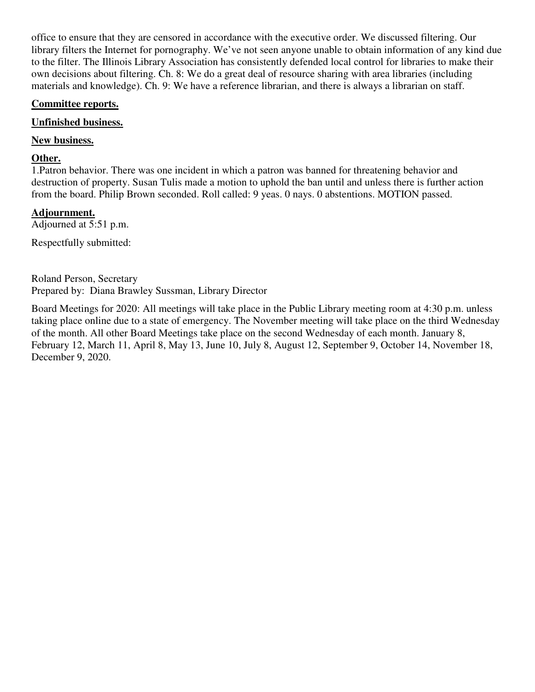office to ensure that they are censored in accordance with the executive order. We discussed filtering. Our library filters the Internet for pornography. We've not seen anyone unable to obtain information of any kind due to the filter. The Illinois Library Association has consistently defended local control for libraries to make their own decisions about filtering. Ch. 8: We do a great deal of resource sharing with area libraries (including materials and knowledge). Ch. 9: We have a reference librarian, and there is always a librarian on staff.

## **Committee reports.**

## **Unfinished business.**

## **New business.**

## **Other.**

1.Patron behavior. There was one incident in which a patron was banned for threatening behavior and destruction of property. Susan Tulis made a motion to uphold the ban until and unless there is further action from the board. Philip Brown seconded. Roll called: 9 yeas. 0 nays. 0 abstentions. MOTION passed.

# **Adjournment.**

Adjourned at 5:51 p.m.

Respectfully submitted:

Roland Person, Secretary Prepared by: Diana Brawley Sussman, Library Director

Board Meetings for 2020: All meetings will take place in the Public Library meeting room at 4:30 p.m. unless taking place online due to a state of emergency. The November meeting will take place on the third Wednesday of the month. All other Board Meetings take place on the second Wednesday of each month. January 8, February 12, March 11, April 8, May 13, June 10, July 8, August 12, September 9, October 14, November 18, December 9, 2020.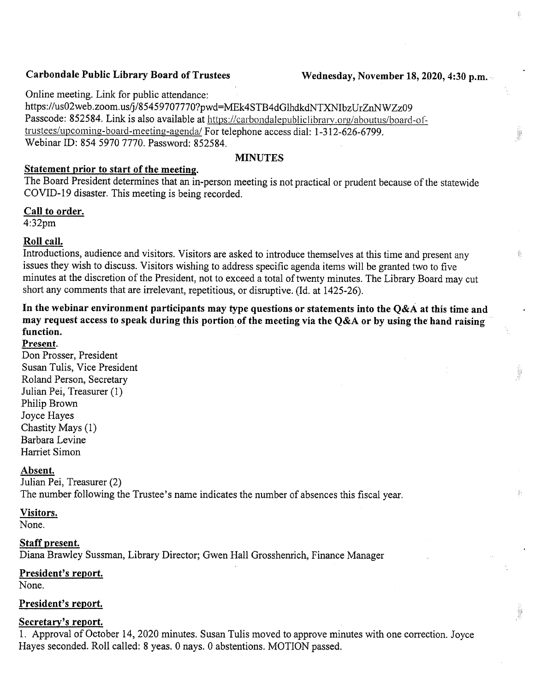## **Carbondale Public Library Board of Trustees**

關

ğ,

翡

Online meeting. Link for public attendance:

https://us02web.zoom.us/j/85459707770?pwd=MEk4STB4dGlhdkdNTXNIbzUrZnNWZz09 Passcode: 852584. Link is also available at https://carbondalepubliclibrary.org/aboutus/board-oftrustees/upcoming-board-meeting-agenda/ For telephone access dial: 1-312-626-6799. Webinar ID: 854 5970 7770. Password: 852584.

#### **MINUTES**

# Statement prior to start of the meeting.

The Board President determines that an in-person meeting is not practical or prudent because of the statewide COVID-19 disaster. This meeting is being recorded.

#### Call to order.

 $4:32<sub>pm</sub>$ 

## Roll call.

Introductions, audience and visitors. Visitors are asked to introduce themselves at this time and present any issues they wish to discuss. Visitors wishing to address specific agenda items will be granted two to five minutes at the discretion of the President, not to exceed a total of twenty minutes. The Library Board may cut short any comments that are irrelevant, repetitious, or disruptive. (Id. at 1425-26).

In the webinar environment participants may type questions or statements into the Q&A at this time and may request access to speak during this portion of the meeting via the Q&A or by using the hand raising function. Present.

Don Prosser, President Susan Tulis, Vice President Roland Person, Secretary Julian Pei, Treasurer (1) Philip Brown Joyce Hayes Chastity Mays (1) Barbara Levine Harriet Simon

#### Absent.

Julian Pei, Treasurer (2) The number following the Trustee's name indicates the number of absences this fiscal year.

#### Visitors.

None.

#### Staff present.

Diana Brawley Sussman, Library Director; Gwen Hall Grosshenrich, Finance Manager

#### President's report.

None.

#### President's report.

#### Secretary's report.

1. Approval of October 14, 2020 minutes. Susan Tulis moved to approve minutes with one correction. Joyce Hayes seconded. Roll called: 8 yeas. 0 nays. 0 abstentions. MOTION passed.